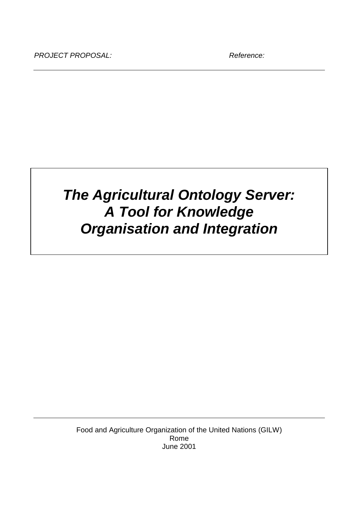# *The Agricultural Ontology Server: A Tool for Knowledge Organisation and Integration*

Food and Agriculture Organization of the United Nations (GILW) Rome June 2001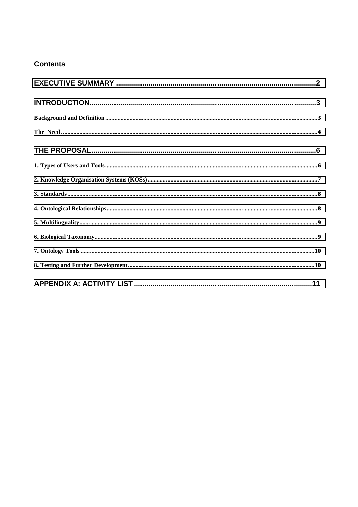## **Contents**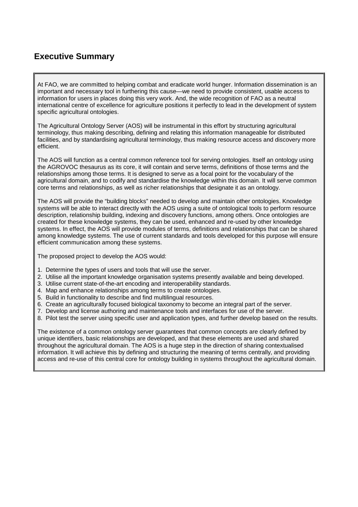## <span id="page-2-0"></span>**Executive Summary**

At FAO, we are committed to helping combat and eradicate world hunger. Information dissemination is an important and necessary tool in furthering this cause—we need to provide consistent, usable access to information for users in places doing this very work. And, the wide recognition of FAO as a neutral international centre of excellence for agriculture positions it perfectly to lead in the development of system specific agricultural ontologies.

The Agricultural Ontology Server (AOS) will be instrumental in this effort by structuring agricultural terminology, thus making describing, defining and relating this information manageable for distributed facilities, and by standardising agricultural terminology, thus making resource access and discovery more efficient.

The AOS will function as a central common reference tool for serving ontologies. Itself an ontology using the AGROVOC thesaurus as its core, it will contain and serve terms, definitions of those terms and the relationships among those terms. It is designed to serve as a focal point for the vocabulary of the agricultural domain, and to codify and standardise the knowledge within this domain. It will serve common core terms and relationships, as well as richer relationships that designate it as an ontology.

The AOS will provide the "building blocks" needed to develop and maintain other ontologies. Knowledge systems will be able to interact directly with the AOS using a suite of ontological tools to perform resource description, relationship building, indexing and discovery functions, among others. Once ontologies are created for these knowledge systems, they can be used, enhanced and re-used by other knowledge systems. In effect, the AOS will provide modules of terms, definitions and relationships that can be shared among knowledge systems. The use of current standards and tools developed for this purpose will ensure efficient communication among these systems.

The proposed project to develop the AOS would:

- 1. Determine the types of users and tools that will use the server.
- 2. Utilise all the important knowledge organisation systems presently available and being developed.
- 3. Utilise current state-of-the-art encoding and interoperability standards.
- 4. Map and enhance relationships among terms to create ontologies.
- 5. Build in functionality to describe and find multilingual resources.
- 6. Create an agriculturally focused biological taxonomy to become an integral part of the server.
- 7. Develop and license authoring and maintenance tools and interfaces for use of the server.
- 8. Pilot test the server using specific user and application types, and further develop based on the results.

The existence of a common ontology server guarantees that common concepts are clearly defined by unique identifiers, basic relationships are developed, and that these elements are used and shared throughout the agricultural domain. The AOS is a huge step in the direction of sharing contextualised information. It will achieve this by defining and structuring the meaning of terms centrally, and providing access and re-use of this central core for ontology building in systems throughout the agricultural domain.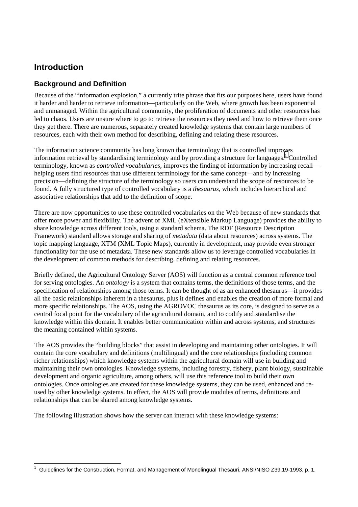## <span id="page-3-0"></span>**Introduction**

### **Background and Definition**

Because of the "information explosion," a currently trite phrase that fits our purposes here, users have found it harder and harder to retrieve information—particularly on the Web, where growth has been exponential and unmanaged. Within the agricultural community, the proliferation of documents and other resources has led to chaos. Users are unsure where to go to retrieve the resources they need and how to retrieve them once they get there. There are numerous, separately created knowledge systems that contain large numbers of resources, each with their own method for describing, defining and relating these resources.

The information science community has long known that terminology that is controlled improves information retrieval by standardising terminology and by providing a structure for languages.<sup>1</sup> Controlled terminology, known as *controlled vocabularies*, improves the finding of information by increasing recall helping users find resources that use different terminology for the same concept—and by increasing precision—defining the structure of the terminology so users can understand the scope of resources to be found. A fully structured type of controlled vocabulary is a *thesaurus*, which includes hierarchical and associative relationships that add to the definition of scope.

There are now opportunities to use these controlled vocabularies on the Web because of new standards that offer more power and flexibility. The advent of XML (eXtensible Markup Language) provides the ability to share knowledge across different tools, using a standard schema. The RDF (Resource Description Framework) standard allows storage and sharing of *metadata* (data about resources) across systems. The topic mapping language, XTM (XML Topic Maps), currently in development, may provide even stronger functionality for the use of metadata. These new standards allow us to leverage controlled vocabularies in the development of common methods for describing, defining and relating resources.

Briefly defined, the Agricultural Ontology Server (AOS) will function as a central common reference tool for serving ontologies. An *ontology* is a system that contains terms, the definitions of those terms, and the specification of relationships among those terms. It can be thought of as an enhanced thesaurus—it provides all the basic relationships inherent in a thesaurus, plus it defines and enables the creation of more formal and more specific relationships. The AOS, using the AGROVOC thesaurus as its core, is designed to serve as a central focal point for the vocabulary of the agricultural domain, and to codify and standardise the knowledge within this domain. It enables better communication within and across systems, and structures the meaning contained within systems.

The AOS provides the "building blocks" that assist in developing and maintaining other ontologies. It will contain the core vocabulary and definitions (multilingual) and the core relationships (including common richer relationships) which knowledge systems within the agricultural domain will use in building and maintaining their own ontologies. Knowledge systems, including forestry, fishery, plant biology, sustainable development and organic agriculture, among others, will use this reference tool to build their own ontologies. Once ontologies are created for these knowledge systems, they can be used, enhanced and reused by other knowledge systems. In effect, the AOS will provide modules of terms, definitions and relationships that can be shared among knowledge systems.

The following illustration shows how the server can interact with these knowledge systems:

 $\overline{\phantom{a}}$ <sup>1</sup> Guidelines for the Construction, Format, and Management of Monolingual Thesauri, ANSI/NISO Z39.19-1993, p. 1.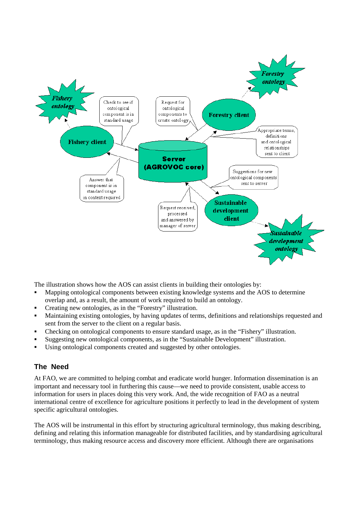<span id="page-4-0"></span>

The illustration shows how the AOS can assist clients in building their ontologies by:

- - Mapping ontological components between existing knowledge systems and the AOS to determine overlap and, as a result, the amount of work required to build an ontology.
- -Creating new ontologies, as in the "Forestry" illustration.
- - Maintaining existing ontologies, by having updates of terms, definitions and relationships requested and sent from the server to the client on a regular basis.
- -Checking on ontological components to ensure standard usage, as in the "Fishery" illustration.
- -Suggesting new ontological components, as in the "Sustainable Development" illustration.
- -Using ontological components created and suggested by other ontologies.

#### **The Need**

At FAO, we are committed to helping combat and eradicate world hunger. Information dissemination is an important and necessary tool in furthering this cause—we need to provide consistent, usable access to information for users in places doing this very work. And, the wide recognition of FAO as a neutral international centre of excellence for agriculture positions it perfectly to lead in the development of system specific agricultural ontologies.

The AOS will be instrumental in this effort by structuring agricultural terminology, thus making describing, defining and relating this information manageable for distributed facilities, and by standardising agricultural terminology, thus making resource access and discovery more efficient. Although there are organisations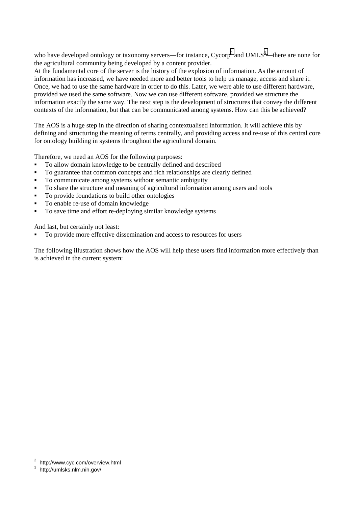who have developed ontology or taxonomy servers—for instance,  $\text{Cycorp}^2$  and  $\text{UMLS}^3$ —there are none for the agricultural community being developed by a content provider.

At the fundamental core of the server is the history of the explosion of information. As the amount of information has increased, we have needed more and better tools to help us manage, access and share it. Once, we had to use the same hardware in order to do this. Later, we were able to use different hardware, provided we used the same software. Now we can use different software, provided we structure the information exactly the same way. The next step is the development of structures that convey the different contexts of the information, but that can be communicated among systems. How can this be achieved?

The AOS is a huge step in the direction of sharing contextualised information. It will achieve this by defining and structuring the meaning of terms centrally, and providing access and re-use of this central core for ontology building in systems throughout the agricultural domain.

Therefore, we need an AOS for the following purposes:

- -To allow domain knowledge to be centrally defined and described
- -To guarantee that common concepts and rich relationships are clearly defined
- -To communicate among systems without semantic ambiguity
- -To share the structure and meaning of agricultural information among users and tools
- -To provide foundations to build other ontologies
- -To enable re-use of domain knowledge
- -To save time and effort re-deploying similar knowledge systems

And last, but certainly not least:

-To provide more effective dissemination and access to resources for users

The following illustration shows how the AOS will help these users find information more effectively than is achieved in the current system:

l

<sup>&</sup>lt;sup>2</sup> http://www.cyc.com/overview.html

http://umlsks.nlm.nih.gov/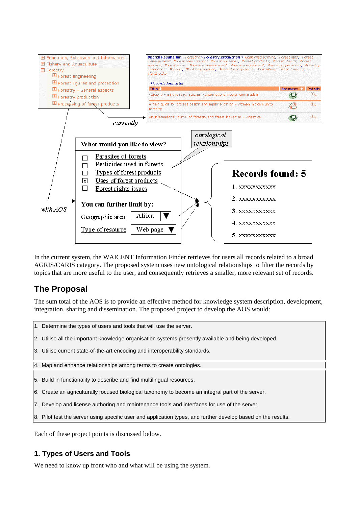<span id="page-6-0"></span>

In the current system, the WAICENT Information Finder retrieves for users all records related to a broad AGRIS/CARIS category. The proposed system uses new ontological relationships to filter the records by topics that are more useful to the user, and consequently retrieves a smaller, more relevant set of records.

## **The Proposal**

The sum total of the AOS is to provide an effective method for knowledge system description, development, integration, sharing and dissemination. The proposed project to develop the AOS would:

- 1. Determine the types of users and tools that will use the server.
- 2. Utilise all the important knowledge organisation systems presently available and being developed.
- 3. Utilise current state-of-the-art encoding and interoperability standards.
- 4. Map and enhance relationships among terms to create ontologies.
- 5. Build in functionality to describe and find multilingual resources.
- 6. Create an agriculturally focused biological taxonomy to become an integral part of the server.
- 7. Develop and license authoring and maintenance tools and interfaces for use of the server.
- 8. Pilot test the server using specific user and application types, and further develop based on the results.

Each of these project points is discussed below.

#### **1. Types of Users and Tools**

We need to know up front who and what will be using the system.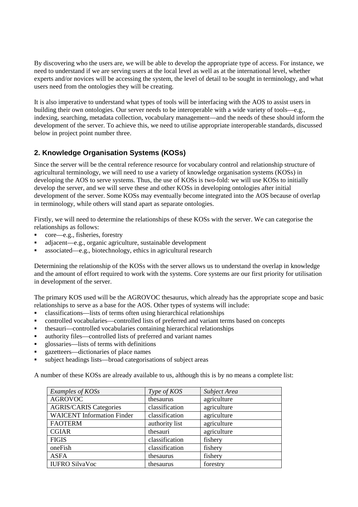<span id="page-7-0"></span>By discovering who the users are, we will be able to develop the appropriate type of access. For instance, we need to understand if we are serving users at the local level as well as at the international level, whether experts and/or novices will be accessing the system, the level of detail to be sought in terminology, and what users need from the ontologies they will be creating.

It is also imperative to understand what types of tools will be interfacing with the AOS to assist users in building their own ontologies. Our server needs to be interoperable with a wide variety of tools—e.g., indexing, searching, metadata collection, vocabulary management—and the needs of these should inform the development of the server. To achieve this, we need to utilise appropriate interoperable standards, discussed below in project point number three.

## **2. Knowledge Organisation Systems (KOSs)**

Since the server will be the central reference resource for vocabulary control and relationship structure of agricultural terminology, we will need to use a variety of knowledge organisation systems (KOSs) in developing the AOS to serve systems. Thus, the use of KOSs is two-fold: we will use KOSs to initially develop the server, and we will serve these and other KOSs in developing ontologies after initial development of the server. Some KOSs may eventually become integrated into the AOS because of overlap in terminology, while others will stand apart as separate ontologies.

Firstly, we will need to determine the relationships of these KOSs with the server. We can categorise the relationships as follows:

- core—e.g., fisheries, forestry
- adjacent—e.g., organic agriculture, sustainable development
- associated—e.g., biotechnology, ethics in agricultural research

Determining the relationship of the KOSs with the server allows us to understand the overlap in knowledge and the amount of effort required to work with the systems. Core systems are our first priority for utilisation in development of the server.

The primary KOS used will be the AGROVOC thesaurus, which already has the appropriate scope and basic relationships to serve as a base for the AOS. Other types of systems will include:

- classifications—lists of terms often using hierarchical relationships
- controlled vocabularies—controlled lists of preferred and variant terms based on concepts
- thesauri—controlled vocabularies containing hierarchical relationships
- authority files—controlled lists of preferred and variant names
- glossaries—lists of terms with definitions
- gazetteers—dictionaries of place names
- subject headings lists—broad categorisations of subject areas

A number of these KOSs are already available to us, although this is by no means a complete list:

| Examples of KOSs                  | Type of KOS    | Subject Area |
|-----------------------------------|----------------|--------------|
| <b>AGROVOC</b>                    | thesaurus      | agriculture  |
| <b>AGRIS/CARIS Categories</b>     | classification | agriculture  |
| <b>WAICENT</b> Information Finder | classification | agriculture  |
| <b>FAOTERM</b>                    | authority list | agriculture  |
| <b>CGIAR</b>                      | thesauri       | agriculture  |
| <b>FIGIS</b>                      | classification | fishery      |
| oneFish                           | classification | fishery      |
| <b>ASFA</b>                       | thesaurus      | fishery      |
| <b>IUFRO SilvaVoc</b>             | thesaurus      | forestry     |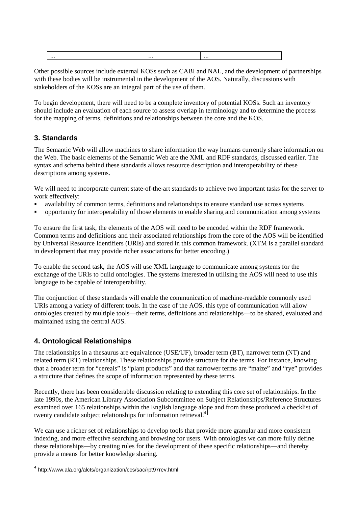<span id="page-8-0"></span>

| $\cdot \cdot \cdot$ | $\cdots$ | $\cdots$ |
|---------------------|----------|----------|
|                     |          |          |

Other possible sources include external KOSs such as CABI and NAL, and the development of partnerships with these bodies will be instrumental in the development of the AOS. Naturally, discussions with stakeholders of the KOSs are an integral part of the use of them.

To begin development, there will need to be a complete inventory of potential KOSs. Such an inventory should include an evaluation of each source to assess overlap in terminology and to determine the process for the mapping of terms, definitions and relationships between the core and the KOS.

#### **3. Standards**

The Semantic Web will allow machines to share information the way humans currently share information on the Web. The basic elements of the Semantic Web are the XML and RDF standards, discussed earlier. The syntax and schema behind these standards allows resource description and interoperability of these descriptions among systems.

We will need to incorporate current state-of-the-art standards to achieve two important tasks for the server to work effectively:

- availability of common terms, definitions and relationships to ensure standard use across systems
- opportunity for interoperability of those elements to enable sharing and communication among systems

To ensure the first task, the elements of the AOS will need to be encoded within the RDF framework. Common terms and definitions and their associated relationships from the core of the AOS will be identified by Universal Resource Identifiers (URIs) and stored in this common framework. (XTM is a parallel standard in development that may provide richer associations for better encoding.)

To enable the second task, the AOS will use XML language to communicate among systems for the exchange of the URIs to build ontologies. The systems interested in utilising the AOS will need to use this language to be capable of interoperability.

The conjunction of these standards will enable the communication of machine-readable commonly used URIs among a variety of different tools. In the case of the AOS, this type of communication will allow ontologies created by multiple tools—their terms, definitions and relationships—to be shared, evaluated and maintained using the central AOS.

## **4. Ontological Relationships**

l

The relationships in a thesaurus are equivalence (USE/UF), broader term (BT), narrower term (NT) and related term (RT) relationships. These relationships provide structure for the terms. For instance, knowing that a broader term for "cereals" is "plant products" and that narrower terms are "maize" and "rye" provides a structure that defines the scope of information represented by these terms.

Recently, there has been considerable discussion relating to extending this core set of relationships. In the late 1990s, the American Library Association Subcommittee on Subject Relationships/Reference Structures examined over 165 relationships within the English language alone and from these produced a checklist of twenty candidate subject relationships for information retrieval.<sup>4</sup>

We can use a richer set of relationships to develop tools that provide more granular and more consistent indexing, and more effective searching and browsing for users. With ontologies we can more fully define these relationships—by creating rules for the development of these specific relationships—and thereby provide a means for better knowledge sharing.

<sup>&</sup>lt;sup>4</sup> http://www.ala.org/alcts/organization/ccs/sac/rpt97rev.html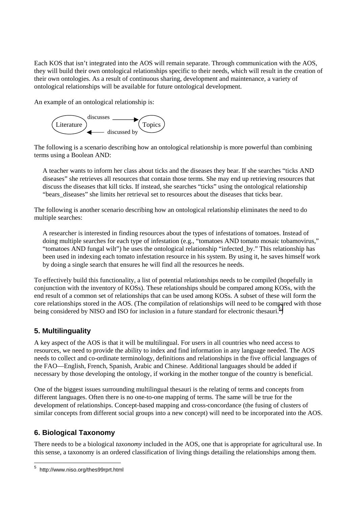<span id="page-9-0"></span>Each KOS that isn't integrated into the AOS will remain separate. Through communication with the AOS, they will build their own ontological relationships specific to their needs, which will result in the creation of their own ontologies. As a result of continuous sharing, development and maintenance, a variety of ontological relationships will be available for future ontological development.

An example of an ontological relationship is:



The following is a scenario describing how an ontological relationship is more powerful than combining terms using a Boolean AND:

A teacher wants to inform her class about ticks and the diseases they bear. If she searches "ticks AND diseases" she retrieves all resources that contain those terms. She may end up retrieving resources that discuss the diseases that kill ticks. If instead, she searches "ticks" using the ontological relationship "bears diseases" she limits her retrieval set to resources about the diseases that ticks bear.

The following is another scenario describing how an ontological relationship eliminates the need to do multiple searches:

A researcher is interested in finding resources about the types of infestations of tomatoes. Instead of doing multiple searches for each type of infestation (e.g., "tomatoes AND tomato mosaic tobamovirus," "tomatoes AND fungal wilt") he uses the ontological relationship "infected\_by." This relationship has been used in indexing each tomato infestation resource in his system. By using it, he saves himself work by doing a single search that ensures he will find all the resources he needs.

To effectively build this functionality, a list of potential relationships needs to be compiled (hopefully in conjunction with the inventory of KOSs). These relationships should be compared among KOSs, with the end result of a common set of relationships that can be used among KOSs. A subset of these will form the core relationships stored in the AOS. (The compilation of relationships will need to be compared with those being considered by NISO and ISO for inclusion in a future standard for electronic thesauri.<sup>5</sup>)

## **5. Multilinguality**

A key aspect of the AOS is that it will be multilingual. For users in all countries who need access to resources, we need to provide the ability to index and find information in any language needed. The AOS needs to collect and co-ordinate terminology, definitions and relationships in the five official languages of the FAO—English, French, Spanish, Arabic and Chinese. Additional languages should be added if necessary by those developing the ontology, if working in the mother tongue of the country is beneficial.

One of the biggest issues surrounding multilingual thesauri is the relating of terms and concepts from different languages. Often there is no one-to-one mapping of terms. The same will be true for the development of relationships. Concept-based mapping and cross-concordance (the fusing of clusters of similar concepts from different social groups into a new concept) will need to be incorporated into the AOS.

## **6. Biological Taxonomy**

There needs to be a biological *taxonomy* included in the AOS, one that is appropriate for agricultural use. In this sense, a taxonomy is an ordered classification of living things detailing the relationships among them.

 5 http://www.niso.org/thes99rprt.html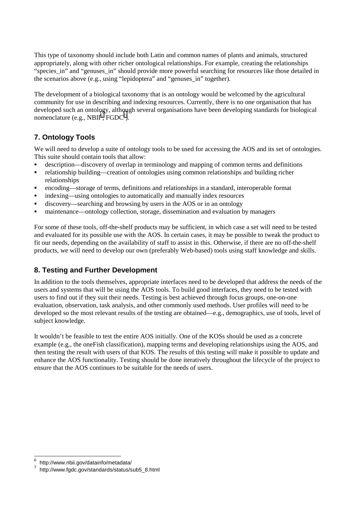<span id="page-10-0"></span>This type of taxonomy should include both Latin and common names of plants and animals, structured appropriately, along with other richer ontological relationships. For example, creating the relationships "species in" and "genuses in" should provide more powerful searching for resources like those detailed in the scenarios above (e.g., using "lepidoptera" and "genuses\_in" together).

The development of a biological taxonomy that is an ontology would be welcomed by the agricultural community for use in describing and indexing resources. Currently, there is no one organisation that has developed such an ontology, although several organisations have been developing standards for biological nomenclature (e.g.,  $NBII^6$ ,  $FGDC^7$ ).

## **7. Ontology Tools**

We will need to develop a suite of ontology tools to be used for accessing the AOS and its set of ontologies. This suite should contain tools that allow:

- description—discovery of overlap in terminology and mapping of common terms and definitions
- relationship building—creation of ontologies using common relationships and building richer relationships
- encoding—storage of terms, definitions and relationships in a standard, interoperable format
- indexing—using ontologies to automatically and manually index resources
- discovery—searching and browsing by users in the AOS or in an ontology
- maintenance—ontology collection, storage, dissemination and evaluation by managers

For some of these tools, off-the-shelf products may be sufficient, in which case a set will need to be tested and evaluated for its possible use with the AOS. In certain cases, it may be possible to tweak the product to fit our needs, depending on the availability of staff to assist in this. Otherwise, if there are no off-the-shelf products, we will need to develop our own (preferably Web-based) tools using staff knowledge and skills.

## **8. Testing and Further Development**

In addition to the tools themselves, appropriate interfaces need to be developed that address the needs of the users and systems that will be using the AOS tools. To build good interfaces, they need to be tested with users to find out if they suit their needs. Testing is best achieved through focus groups, one-on-one evaluation, observation, task analysis, and other commonly used methods. User profiles will need to be developed so the most relevant results of the testing are obtained—e.g., demographics, use of tools, level of subject knowledge.

It wouldn't be feasible to test the entire AOS initially. One of the KOSs should be used as a concrete example (e.g., the oneFish classification), mapping terms and developing relationships using the AOS, and then testing the result with users of that KOS. The results of this testing will make it possible to update and enhance the AOS functionality. Testing should be done iteratively throughout the lifecycle of the project to ensure that the AOS continues to be suitable for the needs of users.

l

<sup>&</sup>lt;sup>6</sup> http://www.nbii.gov/datainfo/metadata/<br>7 http://www.facto.gov/datainfo/metadata/

http://www.fgdc.gov/standards/status/sub5\_8.html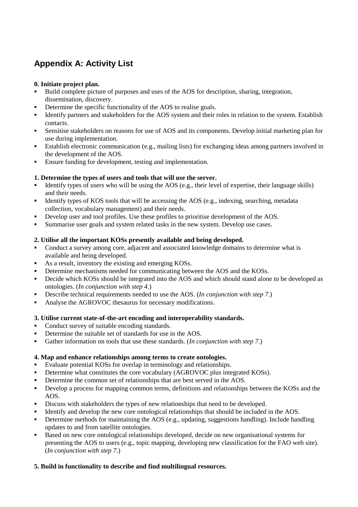## <span id="page-11-0"></span>**Appendix A: Activity List**

#### **0. Initiate project plan.**

- - Build complete picture of purposes and uses of the AOS for description, sharing, integration, dissemination, discovery.
- -Determine the specific functionality of the AOS to realise goals.
- Identify partners and stakeholders for the AOS system and their roles in relation to the system. Establish contacts.
- Sensitise stakeholders on reasons for use of AOS and its components. Develop initial marketing plan for use during implementation.
- Establish electronic communication (e.g., mailing lists) for exchanging ideas among partners involved in the development of the AOS.
- -Ensure funding for development, testing and implementation.

#### **1. Determine the types of users and tools that will use the server.**

- Identify types of users who will be using the AOS (e.g., their level of expertise, their language skills) and their needs.
- Identify types of KOS tools that will be accessing the AOS (e.g., indexing, searching, metadata collection, vocabulary management) and their needs.
- -Develop user and tool profiles. Use these profiles to prioritise development of the AOS.
- -Summarise user goals and system related tasks in the new system. Develop use cases.

#### **2. Utilise all the important KOSs presently available and being developed.**

- - Conduct a survey among core, adjacent and associated knowledge domains to determine what is available and being developed.
- -As a result, inventory the existing and emerging KOSs.
- Determine mechanisms needed for communicating between the AOS and the KOSs.
- Decide which KOSs should be integrated into the AOS and which should stand alone to be developed as ontologies. (*In conjunction with step 4*.)
- **-** Describe technical requirements needed to use the AOS. (*In conjunction with step 7*.)
- -Analyse the AGROVOC thesaurus for necessary modifications.

#### **3. Utilise current state-of-the-art encoding and interoperability standards.**

- Conduct survey of suitable encoding standards.
- -Determine the suitable set of standards for use in the AOS.
- -Gather information on tools that use these standards. (*In conjunction with step 7*.)

#### **4. Map and enhance relationships among terms to create ontologies.**

- Evaluate potential KOSs for overlap in terminology and relationships.
- Determine what constitutes the core vocabulary (AGROVOC plus integrated KOSs).
- Determine the common set of relationships that are best served in the AOS.
- Develop a process for mapping common terms, definitions and relationships between the KOSs and the AOS.
- **Discuss with stakeholders the types of new relationships that need to be developed.**
- Identify and develop the new core ontological relationships that should be included in the AOS.
- Determine methods for maintaining the AOS (e.g., updating, suggestions handling). Include handling updates to and from satellite ontologies.
- Based on new core ontological relationships developed, decide on new organisational systems for presenting the AOS to users (e.g., topic mapping, developing new classification for the FAO web site). (*In conjunction with step 7*.)

#### **5. Build in functionality to describe and find multilingual resources.**